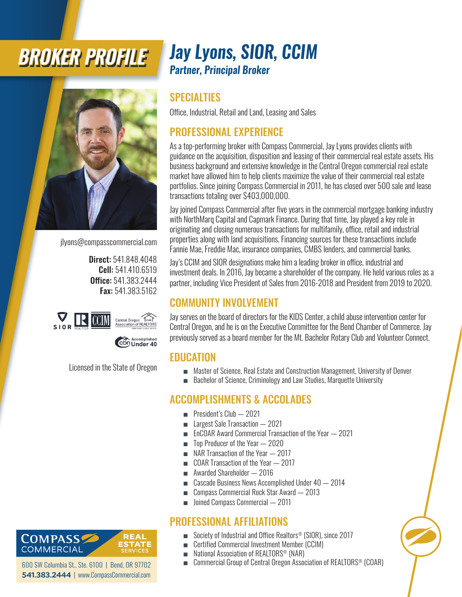# *BROKER PROFILE*



jlyons@compasscommercial.com

Direct: 541.848.4048 Cell: 541.410.6519 Office: 541.383.2444 Fax: 541.383.5162



Licensed in the State of Oregon

### *Jay Lyons, SIOR, CCIM Partner, Principal Broker*

#### SPECIALTIES

Office, Industrial, Retail and Land, Leasing and Sales

#### PROFESSIONAL EXPERIENCE

As a top-performing broker with Compass Commercial, Jay Lyons provides clients with guidance on the acquisition, disposition and leasing of their commercial real estate assets. His business background and extensive knowledge in the Central Oregon commercial real estate market have allowed him to help clients maximize the value of their commercial real estate portfolios. Since joining Compass Commercial in 2011, he has closed over 500 sale and lease transactions totaling over \$403,000,000.

Jay joined Compass Commercial after five years in the commercial mortgage banking industry with NorthMarq Capital and Capmark Finance. During that time, Jay played a key role in originating and closing numerous transactions for multifamily, office, retail and industrial properties along with land acquisitions. Financing sources for these transactions include Fannie Mae, Freddie Mac, insurance companies, CMBS lenders, and commercial banks.

Jay's CCIM and SIOR designations make him a leading broker in office, industrial and investment deals. In 2016, Jay became a shareholder of the company. He held various roles as a partner, including Vice President of Sales from 2016-2018 and President from 2019 to 2020.

#### COMMUNITY INVOLVEMENT

Jay serves on the board of directors for the KIDS Center, a child abuse intervention center for Central Oregon, and he is on the Executive Committee for the Bend Chamber of Commerce. Jay previously served as a board member for the Mt. Bachelor Rotary Club and Volunteer Connect.

#### **EDUCATION**

- Master of Science, Real Estate and Construction Management, University of Denver
- Bachelor of Science, Criminology and Law Studies, Marquette University

#### ACCOMPLISHMENTS & ACCOLADES

- President's Club  $-2021$
- **Largest Sale Transaction** 2021
- EnCOAR Award Commercial Transaction of the Year 2021
- Top Producer of the Year 2020
- NAR Transaction of the Year  $-2017$
- COAR Transaction of the Year 2017
- **Awarded Shareholder 2016**
- Cascade Business News Accomplished Under 40 2014
- Compass Commercial Rock Star Award 2013
- Joined Compass Commercial 2011

#### PROFESSIONAL AFFILIATIONS

- Society of Industrial and Office Realtors<sup>®</sup> (SIOR), since 2017
- Certified Commercial Investment Member (CCIM)
- National Association of REALTORS<sup>®</sup> (NAR)
- Commercial Group of Central Oregon Association of REALTORS<sup>®</sup> (COAR)

ESTATE **COMMERCIAL** 600 SW Columbia St., Ste. 6100 | Bend, OR 97702

**COMPASS** 

**541.383.2444** | www.CompassCommercial.com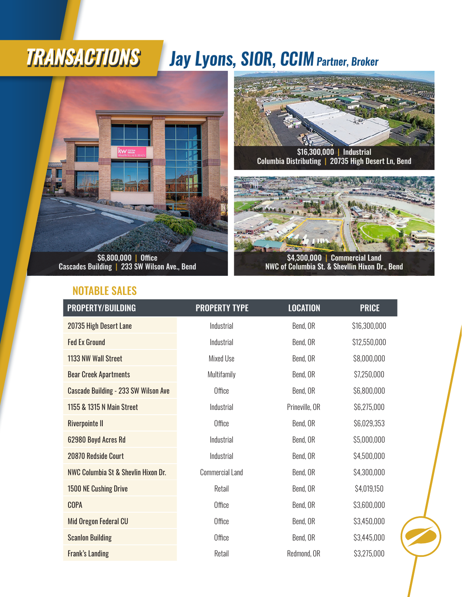#### *Jay Lyons, SIOR, CCIM Partner, Broker TRANSACTIONS*



Cascades Building | 233 SW Wilson Ave., Bend

#### NOTABLE SALES



Columbia Distributing | 20735 High Desert Ln, Bend



NWC of Columbia St. & Shevllin Hixon Dr., Bend

| PROPERTY/BUILDING                           | <b>PROPERTY TYPE</b>   | <b>LOCATION</b> | <b>PRICE</b> |
|---------------------------------------------|------------------------|-----------------|--------------|
| 20735 High Desert Lane                      | Industrial             | Bend, OR        | \$16,300,000 |
| <b>Fed Ex Ground</b>                        | Industrial             | Bend, OR        | \$12,550,000 |
| 1133 NW Wall Street                         | Mixed Use              | Bend, OR        | \$8,000,000  |
| <b>Bear Creek Apartments</b>                | Multifamily            | Bend, OR        | \$7,250,000  |
| <b>Cascade Building - 233 SW Wilson Ave</b> | Office                 | Bend, OR        | \$6,800,000  |
| 1155 & 1315 N Main Street                   | Industrial             | Prineville, OR  | \$6,275,000  |
| <b>Riverpointe II</b>                       | Office                 | Bend, OR        | \$6,029,353  |
| 62980 Boyd Acres Rd                         | Industrial             | Bend, OR        | \$5,000,000  |
| 20870 Redside Court                         | Industrial             | Bend, OR        | \$4,500,000  |
| NWC Columbia St & Shevlin Hixon Dr.         | <b>Commercial Land</b> | Bend, OR        | \$4,300,000  |
| 1500 NE Cushing Drive                       | Retail                 | Bend, OR        | \$4,019,150  |
| <b>COPA</b>                                 | Office                 | Bend, OR        | \$3,600,000  |
| Mid Oregon Federal CU                       | Office                 | Bend, OR        | \$3,450,000  |
| <b>Scanlon Building</b>                     | Office                 | Bend, OR        | \$3,445,000  |
| <b>Frank's Landing</b>                      | Retail                 | Redmond, OR     | \$3,275,000  |